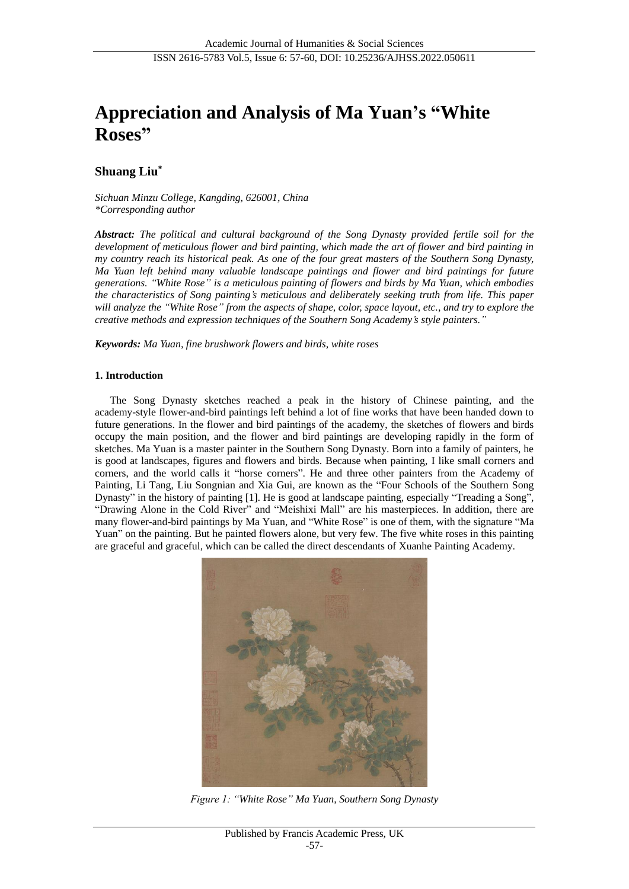# **Appreciation and Analysis of Ma Yuan's "White Roses"**

# **Shuang Liu\***

*Sichuan Minzu College, Kangding, 626001, China \*Corresponding author*

*Abstract: The political and cultural background of the Song Dynasty provided fertile soil for the development of meticulous flower and bird painting, which made the art of flower and bird painting in my country reach its historical peak. As one of the four great masters of the Southern Song Dynasty, Ma Yuan left behind many valuable landscape paintings and flower and bird paintings for future generations. "White Rose" is a meticulous painting of flowers and birds by Ma Yuan, which embodies the characteristics of Song painting's meticulous and deliberately seeking truth from life. This paper will analyze the "White Rose" from the aspects of shape, color, space layout, etc., and try to explore the creative methods and expression techniques of the Southern Song Academy's style painters."*

*Keywords: Ma Yuan, fine brushwork flowers and birds, white roses*

## **1. Introduction**

The Song Dynasty sketches reached a peak in the history of Chinese painting, and the academy-style flower-and-bird paintings left behind a lot of fine works that have been handed down to future generations. In the flower and bird paintings of the academy, the sketches of flowers and birds occupy the main position, and the flower and bird paintings are developing rapidly in the form of sketches. Ma Yuan is a master painter in the Southern Song Dynasty. Born into a family of painters, he is good at landscapes, figures and flowers and birds. Because when painting, I like small corners and corners, and the world calls it "horse corners". He and three other painters from the Academy of Painting, Li Tang, Liu Songnian and Xia Gui, are known as the "Four Schools of the Southern Song Dynasty" in the history of painting [1]. He is good at landscape painting, especially "Treading a Song", "Drawing Alone in the Cold River" and "Meishixi Mall" are his masterpieces. In addition, there are many flower-and-bird paintings by Ma Yuan, and "White Rose" is one of them, with the signature "Ma Yuan" on the painting. But he painted flowers alone, but very few. The five white roses in this painting are graceful and graceful, which can be called the direct descendants of Xuanhe Painting Academy.



*Figure 1: "White Rose" Ma Yuan, Southern Song Dynasty*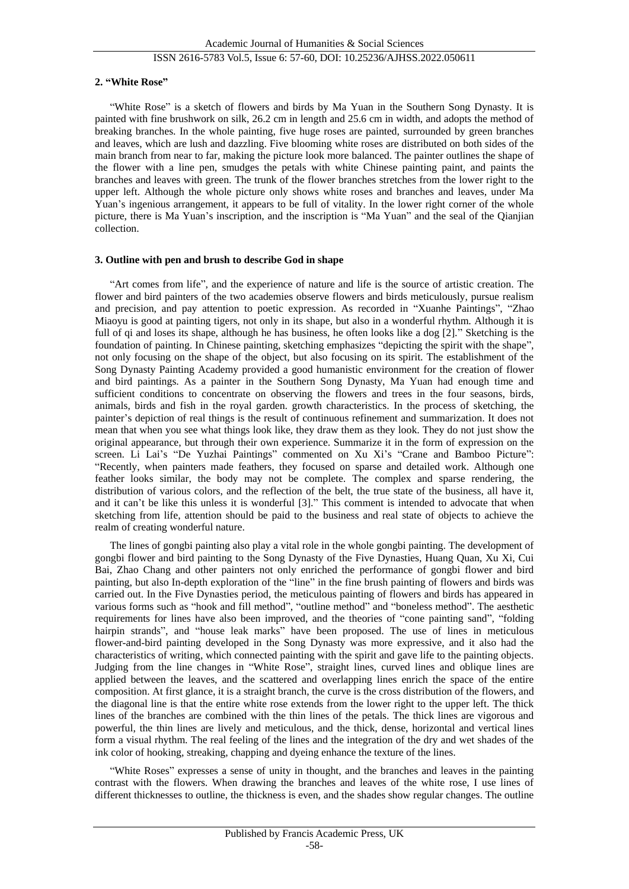# ISSN 2616-5783 Vol.5, Issue 6: 57-60, DOI: 10.25236/AJHSS.2022.050611

#### **2. "White Rose"**

"White Rose" is a sketch of flowers and birds by Ma Yuan in the Southern Song Dynasty. It is painted with fine brushwork on silk, 26.2 cm in length and 25.6 cm in width, and adopts the method of breaking branches. In the whole painting, five huge roses are painted, surrounded by green branches and leaves, which are lush and dazzling. Five blooming white roses are distributed on both sides of the main branch from near to far, making the picture look more balanced. The painter outlines the shape of the flower with a line pen, smudges the petals with white Chinese painting paint, and paints the branches and leaves with green. The trunk of the flower branches stretches from the lower right to the upper left. Although the whole picture only shows white roses and branches and leaves, under Ma Yuan's ingenious arrangement, it appears to be full of vitality. In the lower right corner of the whole picture, there is Ma Yuan's inscription, and the inscription is "Ma Yuan" and the seal of the Qianjian collection.

#### **3. Outline with pen and brush to describe God in shape**

"Art comes from life", and the experience of nature and life is the source of artistic creation. The flower and bird painters of the two academies observe flowers and birds meticulously, pursue realism and precision, and pay attention to poetic expression. As recorded in "Xuanhe Paintings", "Zhao Miaoyu is good at painting tigers, not only in its shape, but also in a wonderful rhythm. Although it is full of qi and loses its shape, although he has business, he often looks like a dog [2]." Sketching is the foundation of painting. In Chinese painting, sketching emphasizes "depicting the spirit with the shape", not only focusing on the shape of the object, but also focusing on its spirit. The establishment of the Song Dynasty Painting Academy provided a good humanistic environment for the creation of flower and bird paintings. As a painter in the Southern Song Dynasty, Ma Yuan had enough time and sufficient conditions to concentrate on observing the flowers and trees in the four seasons, birds, animals, birds and fish in the royal garden. growth characteristics. In the process of sketching, the painter's depiction of real things is the result of continuous refinement and summarization. It does not mean that when you see what things look like, they draw them as they look. They do not just show the original appearance, but through their own experience. Summarize it in the form of expression on the screen. Li Lai's "De Yuzhai Paintings" commented on Xu Xi's "Crane and Bamboo Picture": "Recently, when painters made feathers, they focused on sparse and detailed work. Although one feather looks similar, the body may not be complete. The complex and sparse rendering, the distribution of various colors, and the reflection of the belt, the true state of the business, all have it, and it can't be like this unless it is wonderful [3]." This comment is intended to advocate that when sketching from life, attention should be paid to the business and real state of objects to achieve the realm of creating wonderful nature.

The lines of gongbi painting also play a vital role in the whole gongbi painting. The development of gongbi flower and bird painting to the Song Dynasty of the Five Dynasties, Huang Quan, Xu Xi, Cui Bai, Zhao Chang and other painters not only enriched the performance of gongbi flower and bird painting, but also In-depth exploration of the "line" in the fine brush painting of flowers and birds was carried out. In the Five Dynasties period, the meticulous painting of flowers and birds has appeared in various forms such as "hook and fill method", "outline method" and "boneless method". The aesthetic requirements for lines have also been improved, and the theories of "cone painting sand", "folding hairpin strands", and "house leak marks" have been proposed. The use of lines in meticulous flower-and-bird painting developed in the Song Dynasty was more expressive, and it also had the characteristics of writing, which connected painting with the spirit and gave life to the painting objects. Judging from the line changes in "White Rose", straight lines, curved lines and oblique lines are applied between the leaves, and the scattered and overlapping lines enrich the space of the entire composition. At first glance, it is a straight branch, the curve is the cross distribution of the flowers, and the diagonal line is that the entire white rose extends from the lower right to the upper left. The thick lines of the branches are combined with the thin lines of the petals. The thick lines are vigorous and powerful, the thin lines are lively and meticulous, and the thick, dense, horizontal and vertical lines form a visual rhythm. The real feeling of the lines and the integration of the dry and wet shades of the ink color of hooking, streaking, chapping and dyeing enhance the texture of the lines.

"White Roses" expresses a sense of unity in thought, and the branches and leaves in the painting contrast with the flowers. When drawing the branches and leaves of the white rose, I use lines of different thicknesses to outline, the thickness is even, and the shades show regular changes. The outline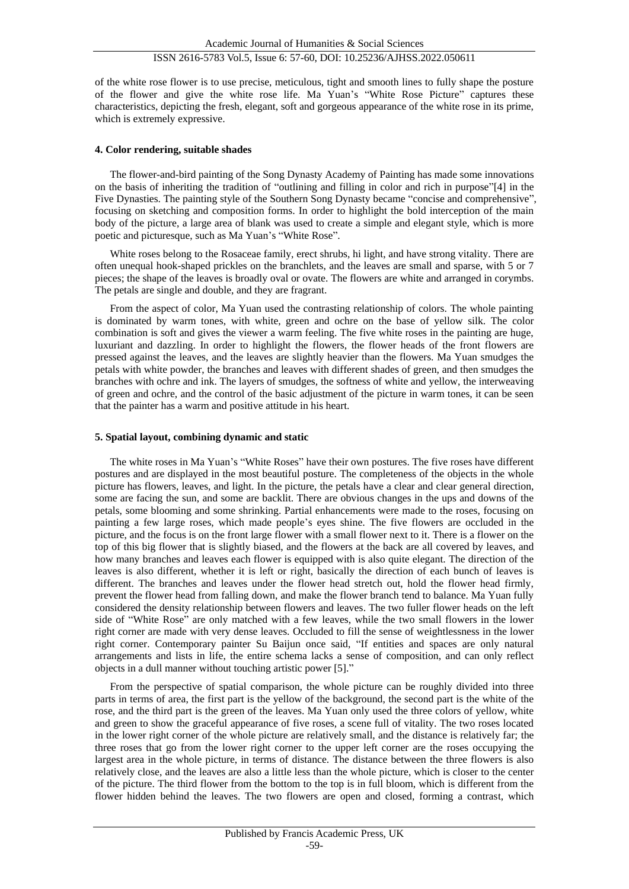of the white rose flower is to use precise, meticulous, tight and smooth lines to fully shape the posture of the flower and give the white rose life. Ma Yuan's "White Rose Picture" captures these characteristics, depicting the fresh, elegant, soft and gorgeous appearance of the white rose in its prime, which is extremely expressive.

## **4. Color rendering, suitable shades**

The flower-and-bird painting of the Song Dynasty Academy of Painting has made some innovations on the basis of inheriting the tradition of "outlining and filling in color and rich in purpose"[4] in the Five Dynasties. The painting style of the Southern Song Dynasty became "concise and comprehensive", focusing on sketching and composition forms. In order to highlight the bold interception of the main body of the picture, a large area of blank was used to create a simple and elegant style, which is more poetic and picturesque, such as Ma Yuan's "White Rose".

White roses belong to the Rosaceae family, erect shrubs, hi light, and have strong vitality. There are often unequal hook-shaped prickles on the branchlets, and the leaves are small and sparse, with 5 or 7 pieces; the shape of the leaves is broadly oval or ovate. The flowers are white and arranged in corymbs. The petals are single and double, and they are fragrant.

From the aspect of color, Ma Yuan used the contrasting relationship of colors. The whole painting is dominated by warm tones, with white, green and ochre on the base of yellow silk. The color combination is soft and gives the viewer a warm feeling. The five white roses in the painting are huge, luxuriant and dazzling. In order to highlight the flowers, the flower heads of the front flowers are pressed against the leaves, and the leaves are slightly heavier than the flowers. Ma Yuan smudges the petals with white powder, the branches and leaves with different shades of green, and then smudges the branches with ochre and ink. The layers of smudges, the softness of white and yellow, the interweaving of green and ochre, and the control of the basic adjustment of the picture in warm tones, it can be seen that the painter has a warm and positive attitude in his heart.

## **5. Spatial layout, combining dynamic and static**

The white roses in Ma Yuan's "White Roses" have their own postures. The five roses have different postures and are displayed in the most beautiful posture. The completeness of the objects in the whole picture has flowers, leaves, and light. In the picture, the petals have a clear and clear general direction, some are facing the sun, and some are backlit. There are obvious changes in the ups and downs of the petals, some blooming and some shrinking. Partial enhancements were made to the roses, focusing on painting a few large roses, which made people's eyes shine. The five flowers are occluded in the picture, and the focus is on the front large flower with a small flower next to it. There is a flower on the top of this big flower that is slightly biased, and the flowers at the back are all covered by leaves, and how many branches and leaves each flower is equipped with is also quite elegant. The direction of the leaves is also different, whether it is left or right, basically the direction of each bunch of leaves is different. The branches and leaves under the flower head stretch out, hold the flower head firmly, prevent the flower head from falling down, and make the flower branch tend to balance. Ma Yuan fully considered the density relationship between flowers and leaves. The two fuller flower heads on the left side of "White Rose" are only matched with a few leaves, while the two small flowers in the lower right corner are made with very dense leaves. Occluded to fill the sense of weightlessness in the lower right corner. Contemporary painter Su Baijun once said, "If entities and spaces are only natural arrangements and lists in life, the entire schema lacks a sense of composition, and can only reflect objects in a dull manner without touching artistic power [5]."

From the perspective of spatial comparison, the whole picture can be roughly divided into three parts in terms of area, the first part is the yellow of the background, the second part is the white of the rose, and the third part is the green of the leaves. Ma Yuan only used the three colors of yellow, white and green to show the graceful appearance of five roses, a scene full of vitality. The two roses located in the lower right corner of the whole picture are relatively small, and the distance is relatively far; the three roses that go from the lower right corner to the upper left corner are the roses occupying the largest area in the whole picture, in terms of distance. The distance between the three flowers is also relatively close, and the leaves are also a little less than the whole picture, which is closer to the center of the picture. The third flower from the bottom to the top is in full bloom, which is different from the flower hidden behind the leaves. The two flowers are open and closed, forming a contrast, which